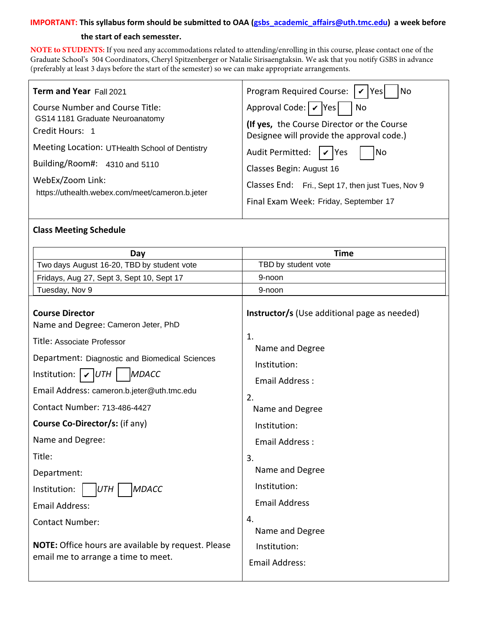#### **IMPORTANT: This syllabus form should be submitted to OAA (gsbs\_academic\_affairs@uth.tmc.edu) a week before**

#### **the start of each semesster.**

**NOTE to STUDENTS:** If you need any accommodations related to attending/enrolling in this course, please contact one of the Graduate School's 504 Coordinators, [Cheryl Spitzenberger](mailto:Cheryl.A.Spitzenberger@uth.tmc.edu) or [Natalie Sirisaengtaksin](mailto:Natalie.Sirisaengtaksin@uth.tmc.edu). We ask that you notify GSBS in advance (preferably at least 3 days before the start of the semester) so we can make appropriate arrangements.

| Term and Year Fall 2021                                                                                                                                  | Program Required Course: $ \mathbf{v} $ Yes<br> No                                                                                                                  |
|----------------------------------------------------------------------------------------------------------------------------------------------------------|---------------------------------------------------------------------------------------------------------------------------------------------------------------------|
| Course Number and Course Title:<br>GS14 1181 Graduate Neuroanatomy<br>Credit Hours: 1                                                                    | Approval Code: $\mathcal{V}$ Yes<br>  No<br>(If yes, the Course Director or the Course<br>Designee will provide the approval code.)                                 |
| Meeting Location: UTHealth School of Dentistry<br>Building/Room#: $4310$ and 5110<br>WebEx/Zoom Link:<br>https://uthealth.webex.com/meet/cameron.b.jeter | Audit Permitted: $\mathcal{V}$ Yes<br> No<br>Classes Begin: August 16<br>Classes End: Fri., Sept 17, then just Tues, Nov 9<br>Final Exam Week: Friday, September 17 |

## **Class Meeting Schedule**

| Day                                                                                                                                                                                                                                                                           | <b>Time</b>                                                                                                                             |
|-------------------------------------------------------------------------------------------------------------------------------------------------------------------------------------------------------------------------------------------------------------------------------|-----------------------------------------------------------------------------------------------------------------------------------------|
| Two days August 16-20, TBD by student vote                                                                                                                                                                                                                                    | TBD by student vote                                                                                                                     |
| Fridays, Aug 27, Sept 3, Sept 10, Sept 17                                                                                                                                                                                                                                     | 9-noon                                                                                                                                  |
| Tuesday, Nov 9                                                                                                                                                                                                                                                                | 9-noon                                                                                                                                  |
| <b>Course Director</b><br>Name and Degree: Cameron Jeter, PhD<br>Title: Associate Professor<br>Department: Diagnostic and Biomedical Sciences<br>Institution: $\mathcal{V}$ UTH<br><b>MDACC</b><br>Email Address: cameron.b.jeter@uth.tmc.edu<br>Contact Number: 713-486-4427 | <b>Instructor/s</b> (Use additional page as needed)<br>1.<br>Name and Degree<br>Institution:<br>Email Address:<br>2.<br>Name and Degree |
| <b>Course Co-Director/s: (if any)</b>                                                                                                                                                                                                                                         | Institution:                                                                                                                            |
| Name and Degree:                                                                                                                                                                                                                                                              | Email Address:                                                                                                                          |
| Title:<br>Department:<br>Institution:<br><b>MDACC</b><br>UTH<br><b>Email Address:</b><br><b>Contact Number:</b>                                                                                                                                                               | 3.<br>Name and Degree<br>Institution:<br><b>Email Address</b><br>4.<br>Name and Degree                                                  |
| NOTE: Office hours are available by request. Please<br>email me to arrange a time to meet.                                                                                                                                                                                    | Institution:<br><b>Email Address:</b>                                                                                                   |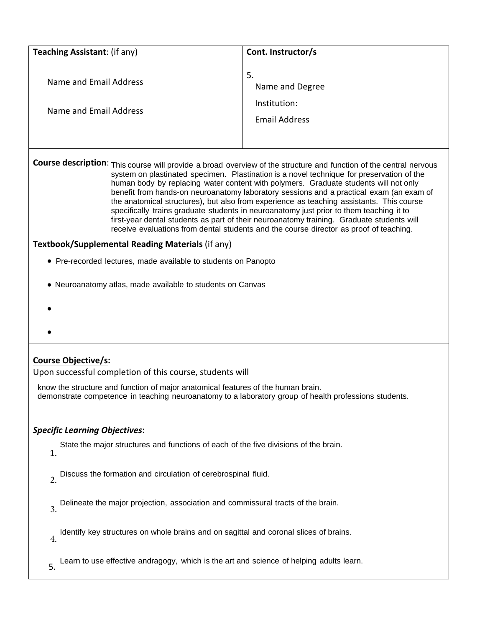| Teaching Assistant: (if any)                                                                                                                                                                                                                                                                                                                                                                                                                                                                                                                                                                                                                                                                                                                                                     | Cont. Instructor/s   |  |  |
|----------------------------------------------------------------------------------------------------------------------------------------------------------------------------------------------------------------------------------------------------------------------------------------------------------------------------------------------------------------------------------------------------------------------------------------------------------------------------------------------------------------------------------------------------------------------------------------------------------------------------------------------------------------------------------------------------------------------------------------------------------------------------------|----------------------|--|--|
|                                                                                                                                                                                                                                                                                                                                                                                                                                                                                                                                                                                                                                                                                                                                                                                  |                      |  |  |
| Name and Email Address                                                                                                                                                                                                                                                                                                                                                                                                                                                                                                                                                                                                                                                                                                                                                           | 5.                   |  |  |
|                                                                                                                                                                                                                                                                                                                                                                                                                                                                                                                                                                                                                                                                                                                                                                                  | Name and Degree      |  |  |
| Name and Email Address                                                                                                                                                                                                                                                                                                                                                                                                                                                                                                                                                                                                                                                                                                                                                           | Institution:         |  |  |
|                                                                                                                                                                                                                                                                                                                                                                                                                                                                                                                                                                                                                                                                                                                                                                                  | <b>Email Address</b> |  |  |
|                                                                                                                                                                                                                                                                                                                                                                                                                                                                                                                                                                                                                                                                                                                                                                                  |                      |  |  |
| Course description: This course will provide a broad overview of the structure and function of the central nervous<br>system on plastinated specimen. Plastination is a novel technique for preservation of the<br>human body by replacing water content with polymers. Graduate students will not only<br>benefit from hands-on neuroanatomy laboratory sessions and a practical exam (an exam of<br>the anatomical structures), but also from experience as teaching assistants. This course<br>specifically trains graduate students in neuroanatomy just prior to them teaching it to<br>first-year dental students as part of their neuroanatomy training. Graduate students will<br>receive evaluations from dental students and the course director as proof of teaching. |                      |  |  |
| Textbook/Supplemental Reading Materials (if any)                                                                                                                                                                                                                                                                                                                                                                                                                                                                                                                                                                                                                                                                                                                                 |                      |  |  |
| • Pre-recorded lectures, made available to students on Panopto                                                                                                                                                                                                                                                                                                                                                                                                                                                                                                                                                                                                                                                                                                                   |                      |  |  |
| • Neuroanatomy atlas, made available to students on Canvas                                                                                                                                                                                                                                                                                                                                                                                                                                                                                                                                                                                                                                                                                                                       |                      |  |  |
|                                                                                                                                                                                                                                                                                                                                                                                                                                                                                                                                                                                                                                                                                                                                                                                  |                      |  |  |
|                                                                                                                                                                                                                                                                                                                                                                                                                                                                                                                                                                                                                                                                                                                                                                                  |                      |  |  |
|                                                                                                                                                                                                                                                                                                                                                                                                                                                                                                                                                                                                                                                                                                                                                                                  |                      |  |  |
| Course Objective/s:                                                                                                                                                                                                                                                                                                                                                                                                                                                                                                                                                                                                                                                                                                                                                              |                      |  |  |
| Upon successful completion of this course, students will                                                                                                                                                                                                                                                                                                                                                                                                                                                                                                                                                                                                                                                                                                                         |                      |  |  |
| know the structure and function of major anatomical features of the human brain.                                                                                                                                                                                                                                                                                                                                                                                                                                                                                                                                                                                                                                                                                                 |                      |  |  |
| demonstrate competence in teaching neuroanatomy to a laboratory group of health professions students.                                                                                                                                                                                                                                                                                                                                                                                                                                                                                                                                                                                                                                                                            |                      |  |  |
| <b>Specific Learning Objectives:</b>                                                                                                                                                                                                                                                                                                                                                                                                                                                                                                                                                                                                                                                                                                                                             |                      |  |  |
| State the major structures and functions of each of the five divisions of the brain.                                                                                                                                                                                                                                                                                                                                                                                                                                                                                                                                                                                                                                                                                             |                      |  |  |
| 1.                                                                                                                                                                                                                                                                                                                                                                                                                                                                                                                                                                                                                                                                                                                                                                               |                      |  |  |
| Discuss the formation and circulation of cerebrospinal fluid.<br>$\overline{2}$ .                                                                                                                                                                                                                                                                                                                                                                                                                                                                                                                                                                                                                                                                                                |                      |  |  |
|                                                                                                                                                                                                                                                                                                                                                                                                                                                                                                                                                                                                                                                                                                                                                                                  |                      |  |  |
| Delineate the major projection, association and commissural tracts of the brain.<br>$\overline{3}$ .                                                                                                                                                                                                                                                                                                                                                                                                                                                                                                                                                                                                                                                                             |                      |  |  |
| Identify key structures on whole brains and on sagittal and coronal slices of brains.<br>4.                                                                                                                                                                                                                                                                                                                                                                                                                                                                                                                                                                                                                                                                                      |                      |  |  |
| Learn to use effective andragogy, which is the art and science of helping adults learn.<br>5.                                                                                                                                                                                                                                                                                                                                                                                                                                                                                                                                                                                                                                                                                    |                      |  |  |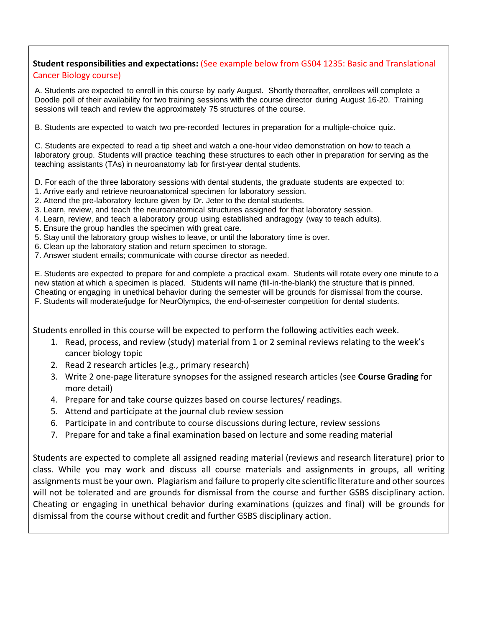## **Student responsibilities and expectations:** (See example below from GS04 1235: Basic and Translational Cancer Biology course)

A. Students are expected to enroll in this course by early August. Shortly thereafter, enrollees will complete a Doodle poll of their availability for two training sessions with the course director during August 16-20. Training sessions will teach and review the approximately 75 structures of the course.

B. Students are expected to watch two pre-recorded lectures in preparation for a multiple-choice quiz.

C. Students are expected to read a tip sheet and watch a one-hour video demonstration on how to teach a laboratory group. Students will practice teaching these structures to each other in preparation for serving as the teaching assistants (TAs) in neuroanatomy lab for first-year dental students.

D. For each of the three laboratory sessions with dental students, the graduate students are expected to:

- 1. Arrive early and retrieve neuroanatomical specimen for laboratory session.
- 2. Attend the pre-laboratory lecture given by Dr. Jeter to the dental students.
- 3. Learn, review, and teach the neuroanatomical structures assigned for that laboratory session.
- 4. Learn, review, and teach a laboratory group using established andragogy (way to teach adults).
- 5. Ensure the group handles the specimen with great care.
- 5. Stay until the laboratory group wishes to leave, or until the laboratory time is over.
- 6. Clean up the laboratory station and return specimen to storage.
- 7. Answer student emails; communicate with course director as needed.

E. Students are expected to prepare for and complete a practical exam. Students will rotate every one minute to a new station at which a specimen is placed. Students will name (fill-in-the-blank) the structure that is pinned. Cheating or engaging in unethical behavior during the semester will be grounds for dismissal from the course. F. Students will moderate/judge for NeurOlympics, the end-of-semester competition for dental students.

Students enrolled in this course will be expected to perform the following activities each week.

- 1. Read, process, and review (study) material from 1 or 2 seminal reviews relating to the week's cancer biology topic
- 2. Read 2 research articles (e.g., primary research)
- 3. Write 2 one-page literature synopses for the assigned research articles (see **Course Grading** for more detail)
- 4. Prepare for and take course quizzes based on course lectures/ readings.
- 5. Attend and participate at the journal club review session
- 6. Participate in and contribute to course discussions during lecture, review sessions
- 7. Prepare for and take a final examination based on lecture and some reading material

Students are expected to complete all assigned reading material (reviews and research literature) prior to class. While you may work and discuss all course materials and assignments in groups, all writing assignments must be your own. Plagiarism and failure to properly cite scientific literature and other sources will not be tolerated and are grounds for dismissal from the course and further GSBS disciplinary action. Cheating or engaging in unethical behavior during examinations (quizzes and final) will be grounds for dismissal from the course without credit and further GSBS disciplinary action.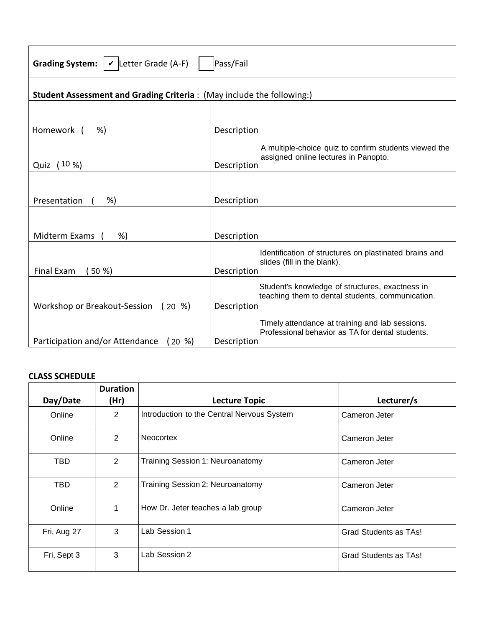| Grading System: $\mathcal{V}$ Letter Grade (A-F)<br>Pass/Fail                |                                                                                                                    |  |  |
|------------------------------------------------------------------------------|--------------------------------------------------------------------------------------------------------------------|--|--|
| <b>Student Assessment and Grading Criteria: (May include the following:)</b> |                                                                                                                    |  |  |
|                                                                              |                                                                                                                    |  |  |
| Homework<br>%)                                                               | Description                                                                                                        |  |  |
| Quiz (10 %)                                                                  | A multiple-choice quiz to confirm students viewed the<br>assigned online lectures in Panopto.<br>Description       |  |  |
|                                                                              |                                                                                                                    |  |  |
| Presentation<br>%)                                                           | Description                                                                                                        |  |  |
|                                                                              |                                                                                                                    |  |  |
| Midterm Exams<br>%                                                           | Description                                                                                                        |  |  |
| <b>Final Exam</b><br>(50%                                                    | Identification of structures on plastinated brains and<br>slides (fill in the blank).<br>Description               |  |  |
| Workshop or Breakout-Session<br>$(20 \%)$                                    | Student's knowledge of structures, exactness in<br>teaching them to dental students, communication.<br>Description |  |  |
| Participation and/or Attendance<br>$(20 \%)$                                 | Timely attendance at training and lab sessions.<br>Professional behavior as TA for dental students.<br>Description |  |  |

# **CLASS SCHEDULE**

| Day/Date    | <b>Duration</b><br>(Hr) | <b>Lecture Topic</b>                       | Lecturer/s            |
|-------------|-------------------------|--------------------------------------------|-----------------------|
| Online      | $\overline{2}$          | Introduction to the Central Nervous System | Cameron Jeter         |
| Online      | 2                       | <b>Neocortex</b>                           | Cameron Jeter         |
| <b>TBD</b>  | $\overline{2}$          | Training Session 1: Neuroanatomy           | Cameron Jeter         |
| TBD         | $\overline{2}$          | Training Session 2: Neuroanatomy           | Cameron Jeter         |
| Online      | 1                       | How Dr. Jeter teaches a lab group          | Cameron Jeter         |
| Fri, Aug 27 | 3                       | Lab Session 1                              | Grad Students as TAs! |
| Fri, Sept 3 | 3                       | Lab Session 2                              | Grad Students as TAs! |